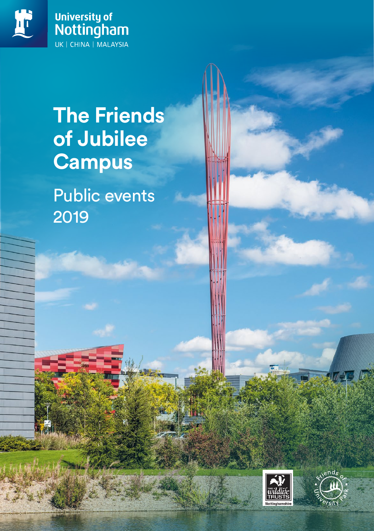



# **The Friends of Jubilee Campus**

Public events 2019



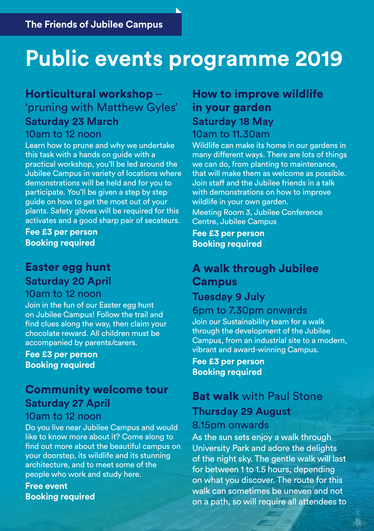# **Public events programme 2019**

### Horticultural workshop –

'pruning with Matthew Gyles' **Saturday 23 March**

#### 10am to 12 noon

Learn how to prune and why we undertake this task with a hands on guide with a practical workshop, you'll be led around the Jubilee Campus in variety of locations where demonstrations will be held and for you to participate. You'll be given a step by step guide on how to get the most out of your plants. Safety gloves will be required for this activates and a good sharp pair of secateurs.

**Fee £3 per person Booking required**

### Easter egg hunt **Saturday 20 April** 10am to 12 noon

Join in the fun of our Easter egg hunt on Jubilee Campus! Follow the trail and find clues along the way, then claim your chocolate reward. All children must be accompanied by parents/carers.

**Fee £3 per person Booking required**

# Community welcome tour **Saturday 27 April**

### 10am to 12 noon

Do you live near Jubilee Campus and would like to know more about it? Come along to find out more about the beautiful campus on your doorstep, its wildlife and its stunning architecture, and to meet some of the people who work and study here.

**Free event Booking required**

# How to improve wildlife in your garden **Saturday 18 May**

#### 10am to 11.30am

Wildlife can make its home in our gardens in many different ways. There are lots of things we can do, from planting to maintenance, that will make them as welcome as possible. Join staff and the Jubilee friends in a talk with demonstrations on how to improve wildlife in your own garden. Meeting Room 3, Jubilee Conference Centre, Jubilee Campus

**Fee £3 per person Booking required**

# A walk through Jubilee Campus

### **Tuesday 9 July**

### 6pm to 7.30pm onwards

Join our Sustainability team for a walk through the development of the Jubilee Campus, from an industrial site to a modern, vibrant and award-winning Campus.

**Fee £3 per person Booking required**

# **Bat walk** with Paul Stone **Thursday 29 August**

### 8.15pm onwards

As the sun sets enjoy a walk through University Park and adore the delights of the night sky. The gentle walk will last for between 1 to 1.5 hours, depending on what you discover. The route for this walk can sometimes be uneven and not on a path, so will require all attendees to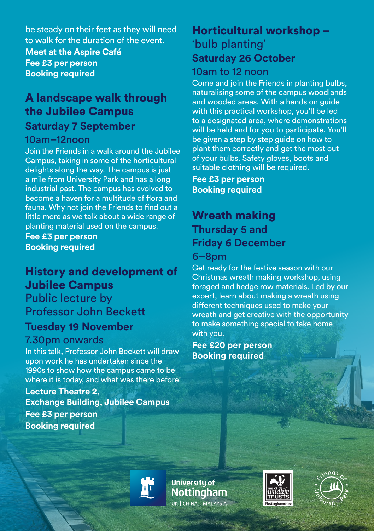be steady on their feet as they will need to walk for the duration of the event. **Meet at the Aspire Café Fee £3 per person Booking required**

### A landscape walk through the Jubilee Campus

### **Saturday 7 September**

#### 10am–12noon

Join the Friends in a walk around the Jubilee Campus, taking in some of the horticultural delights along the way. The campus is just a mile from University Park and has a long industrial past. The campus has evolved to become a haven for a multitude of flora and fauna. Why not join the Friends to find out a little more as we talk about a wide range of planting material used on the campus.

**Fee £3 per person Booking required**

# History and development of Jubilee Campus

Public lecture by Professor John Beckett

## **Tuesday 19 November**

### 7.30pm onwards

In this talk, Professor John Beckett will draw upon work he has undertaken since the 1990s to show how the campus came to be where it is today, and what was there before!

**Lecture Theatre 2, Exchange Building, Jubilee Campus Fee £3 per person Booking required** 

### Horticultural workshop – 'bulb planting' **Saturday 26 October**

### 10am to 12 noon

Come and join the Friends in planting bulbs, naturalising some of the campus woodlands and wooded areas. With a hands on guide with this practical workshop, you'll be led to a designated area, where demonstrations will be held and for you to participate. You'll be given a step by step guide on how to plant them correctly and get the most out of your bulbs. Safety gloves, boots and suitable clothing will be required.

**Fee £3 per person Booking required**

# Wreath making **Thursday 5 and Friday 6 December**

### 6–8pm

Get ready for the festive season with our Christmas wreath making workshop, using foraged and hedge row materials. Led by our expert, learn about making a wreath using different techniques used to make your wreath and get creative with the opportunity to make something special to take home with you.

**Fee £20 per person Booking required**

**University of Nottingham TIK L CHINA L MALAYSIA**